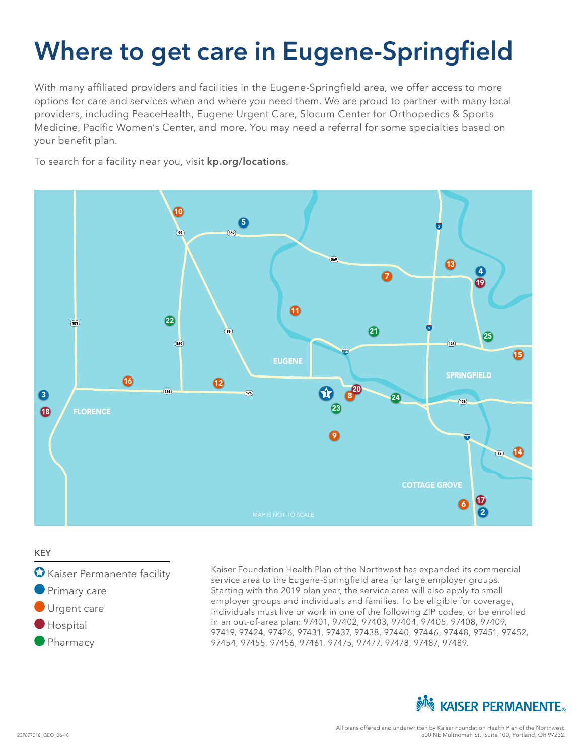# **Where to get care in Eugene-Springfield**

With many affiliated providers and facilities in the Eugene-Springfield area, we offer access to more options for care and services when and where you need them. We are proud to partner with many local providers, including PeaceHealth, Eugene Urgent Care, Slocum Center for Orthopedics & Sports Medicine, Pacific Women's Center, and more. You may need a referral for some specialties based on your benefit plan.

To search for a facility near you, visit **kp.org/locations**.



#### **KEY**

- Kaiser Permanente facility
- **Primary care**
- Urgent care
- **Hospital**
- **Pharmacy**

Kaiser Foundation Health Plan of the Northwest has expanded its commercial service area to the Eugene-Springfield area for large employer groups. Starting with the 2019 plan year, the service area will also apply to small employer groups and individuals and families. To be eligible for coverage, individuals must live or work in one of the following ZIP codes, or be enrolled in an out-of-area plan: 97401, 97402, 97403, 97404, 97405, 97408, 97409, 97419, 97424, 97426, 97431, 97437, 97438, 97440, 97446, 97448, 97451, 97452, 97454, 97455, 97456, 97461, 97475, 97477, 97478, 97487, 97489.